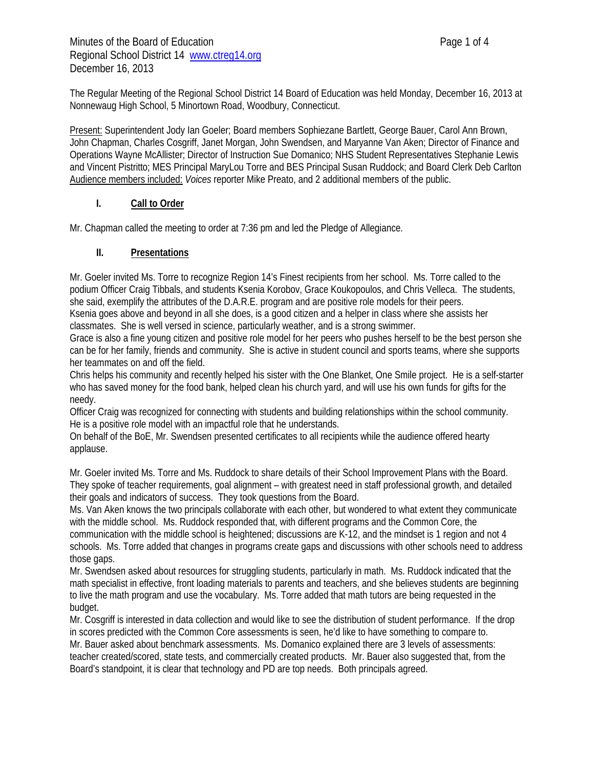The Regular Meeting of the Regional School District 14 Board of Education was held Monday, December 16, 2013 at Nonnewaug High School, 5 Minortown Road, Woodbury, Connecticut.

Present: Superintendent Jody Ian Goeler; Board members Sophiezane Bartlett, George Bauer, Carol Ann Brown, John Chapman, Charles Cosgriff, Janet Morgan, John Swendsen, and Maryanne Van Aken; Director of Finance and Operations Wayne McAllister; Director of Instruction Sue Domanico; NHS Student Representatives Stephanie Lewis and Vincent Pistritto; MES Principal MaryLou Torre and BES Principal Susan Ruddock; and Board Clerk Deb Carlton Audience members included: *Voices* reporter Mike Preato, and 2 additional members of the public.

## **I. Call to Order**

Mr. Chapman called the meeting to order at 7:36 pm and led the Pledge of Allegiance.

### **II. Presentations**

Mr. Goeler invited Ms. Torre to recognize Region 14's Finest recipients from her school. Ms. Torre called to the podium Officer Craig Tibbals, and students Ksenia Korobov, Grace Koukopoulos, and Chris Velleca. The students, she said, exemplify the attributes of the D.A.R.E. program and are positive role models for their peers. Ksenia goes above and beyond in all she does, is a good citizen and a helper in class where she assists her classmates. She is well versed in science, particularly weather, and is a strong swimmer.

Grace is also a fine young citizen and positive role model for her peers who pushes herself to be the best person she can be for her family, friends and community. She is active in student council and sports teams, where she supports her teammates on and off the field.

Chris helps his community and recently helped his sister with the One Blanket, One Smile project. He is a self-starter who has saved money for the food bank, helped clean his church yard, and will use his own funds for gifts for the needy.

Officer Craig was recognized for connecting with students and building relationships within the school community. He is a positive role model with an impactful role that he understands.

On behalf of the BoE, Mr. Swendsen presented certificates to all recipients while the audience offered hearty applause.

Mr. Goeler invited Ms. Torre and Ms. Ruddock to share details of their School Improvement Plans with the Board. They spoke of teacher requirements, goal alignment – with greatest need in staff professional growth, and detailed their goals and indicators of success. They took questions from the Board.

Ms. Van Aken knows the two principals collaborate with each other, but wondered to what extent they communicate with the middle school. Ms. Ruddock responded that, with different programs and the Common Core, the communication with the middle school is heightened; discussions are K-12, and the mindset is 1 region and not 4 schools. Ms. Torre added that changes in programs create gaps and discussions with other schools need to address those gaps.

Mr. Swendsen asked about resources for struggling students, particularly in math. Ms. Ruddock indicated that the math specialist in effective, front loading materials to parents and teachers, and she believes students are beginning to live the math program and use the vocabulary. Ms. Torre added that math tutors are being requested in the budget.

Mr. Cosgriff is interested in data collection and would like to see the distribution of student performance. If the drop in scores predicted with the Common Core assessments is seen, he'd like to have something to compare to. Mr. Bauer asked about benchmark assessments. Ms. Domanico explained there are 3 levels of assessments: teacher created/scored, state tests, and commercially created products. Mr. Bauer also suggested that, from the Board's standpoint, it is clear that technology and PD are top needs. Both principals agreed.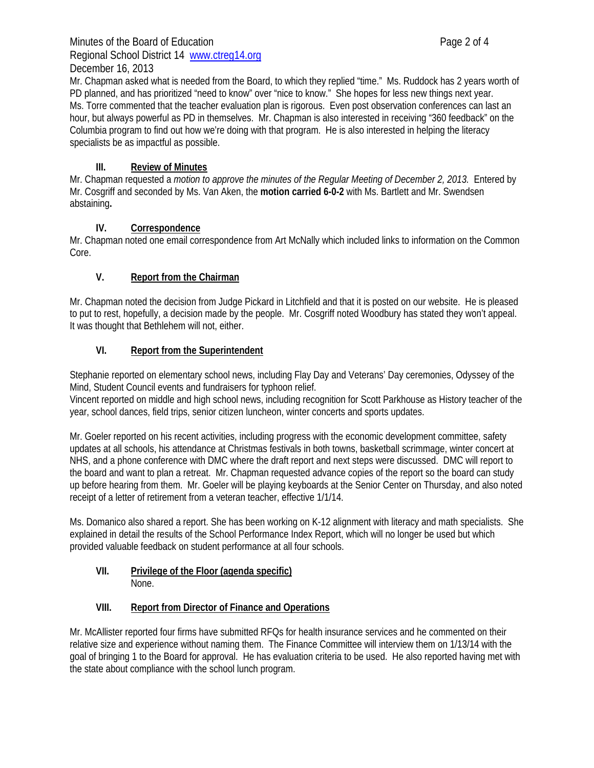## Minutes of the Board of Education **Page 2 of 4** Regional School District 14 www.ctreg14.org December 16, 2013

Mr. Chapman asked what is needed from the Board, to which they replied "time." Ms. Ruddock has 2 years worth of PD planned, and has prioritized "need to know" over "nice to know." She hopes for less new things next year. Ms. Torre commented that the teacher evaluation plan is rigorous. Even post observation conferences can last an hour, but always powerful as PD in themselves. Mr. Chapman is also interested in receiving "360 feedback" on the Columbia program to find out how we're doing with that program. He is also interested in helping the literacy specialists be as impactful as possible.

# **III. Review of Minutes**

Mr. Chapman requested a *motion to approve the minutes of the Regular Meeting of December 2, 2013.* Entered by Mr. Cosgriff and seconded by Ms. Van Aken, the **motion carried 6-0-2** with Ms. Bartlett and Mr. Swendsen abstaining**.**

# **IV. Correspondence**

Mr. Chapman noted one email correspondence from Art McNally which included links to information on the Common Core.

# **V. Report from the Chairman**

Mr. Chapman noted the decision from Judge Pickard in Litchfield and that it is posted on our website. He is pleased to put to rest, hopefully, a decision made by the people. Mr. Cosgriff noted Woodbury has stated they won't appeal. It was thought that Bethlehem will not, either.

# **VI. Report from the Superintendent**

Stephanie reported on elementary school news, including Flay Day and Veterans' Day ceremonies, Odyssey of the Mind, Student Council events and fundraisers for typhoon relief.

Vincent reported on middle and high school news, including recognition for Scott Parkhouse as History teacher of the year, school dances, field trips, senior citizen luncheon, winter concerts and sports updates.

Mr. Goeler reported on his recent activities, including progress with the economic development committee, safety updates at all schools, his attendance at Christmas festivals in both towns, basketball scrimmage, winter concert at NHS, and a phone conference with DMC where the draft report and next steps were discussed. DMC will report to the board and want to plan a retreat. Mr. Chapman requested advance copies of the report so the board can study up before hearing from them. Mr. Goeler will be playing keyboards at the Senior Center on Thursday, and also noted receipt of a letter of retirement from a veteran teacher, effective 1/1/14.

Ms. Domanico also shared a report. She has been working on K-12 alignment with literacy and math specialists. She explained in detail the results of the School Performance Index Report, which will no longer be used but which provided valuable feedback on student performance at all four schools.

#### **VII. Privilege of the Floor (agenda specific)**  None.

## **VIII. Report from Director of Finance and Operations**

Mr. McAllister reported four firms have submitted RFQs for health insurance services and he commented on their relative size and experience without naming them. The Finance Committee will interview them on 1/13/14 with the goal of bringing 1 to the Board for approval. He has evaluation criteria to be used. He also reported having met with the state about compliance with the school lunch program.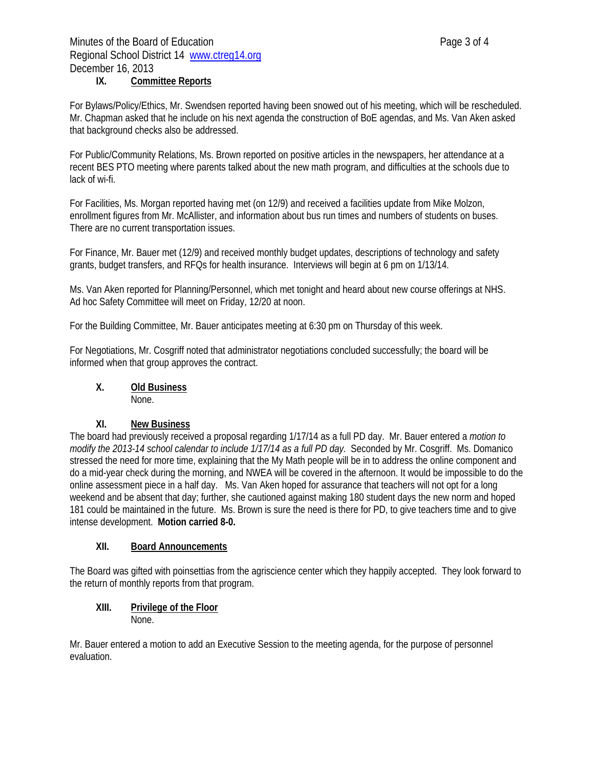## **IX. Committee Reports**

For Bylaws/Policy/Ethics, Mr. Swendsen reported having been snowed out of his meeting, which will be rescheduled. Mr. Chapman asked that he include on his next agenda the construction of BoE agendas, and Ms. Van Aken asked that background checks also be addressed.

For Public/Community Relations, Ms. Brown reported on positive articles in the newspapers, her attendance at a recent BES PTO meeting where parents talked about the new math program, and difficulties at the schools due to lack of wi-fi.

For Facilities, Ms. Morgan reported having met (on 12/9) and received a facilities update from Mike Molzon, enrollment figures from Mr. McAllister, and information about bus run times and numbers of students on buses. There are no current transportation issues.

For Finance, Mr. Bauer met (12/9) and received monthly budget updates, descriptions of technology and safety grants, budget transfers, and RFQs for health insurance. Interviews will begin at 6 pm on 1/13/14.

Ms. Van Aken reported for Planning/Personnel, which met tonight and heard about new course offerings at NHS. Ad hoc Safety Committee will meet on Friday, 12/20 at noon.

For the Building Committee, Mr. Bauer anticipates meeting at 6:30 pm on Thursday of this week.

For Negotiations, Mr. Cosgriff noted that administrator negotiations concluded successfully; the board will be informed when that group approves the contract.

#### **X. Old Business** None.

## **XI. New Business**

The board had previously received a proposal regarding 1/17/14 as a full PD day. Mr. Bauer entered a *motion to modify the 2013-14 school calendar to include 1/17/14 as a full PD day.* Seconded by Mr. Cosgriff. Ms. Domanico stressed the need for more time, explaining that the My Math people will be in to address the online component and do a mid-year check during the morning, and NWEA will be covered in the afternoon. It would be impossible to do the online assessment piece in a half day. Ms. Van Aken hoped for assurance that teachers will not opt for a long weekend and be absent that day; further, she cautioned against making 180 student days the new norm and hoped 181 could be maintained in the future. Ms. Brown is sure the need is there for PD, to give teachers time and to give intense development. **Motion carried 8-0.** 

#### **XII. Board Announcements**

The Board was gifted with poinsettias from the agriscience center which they happily accepted. They look forward to the return of monthly reports from that program.

#### **XIII. Privilege of the Floor**  None.

Mr. Bauer entered a motion to add an Executive Session to the meeting agenda, for the purpose of personnel evaluation.